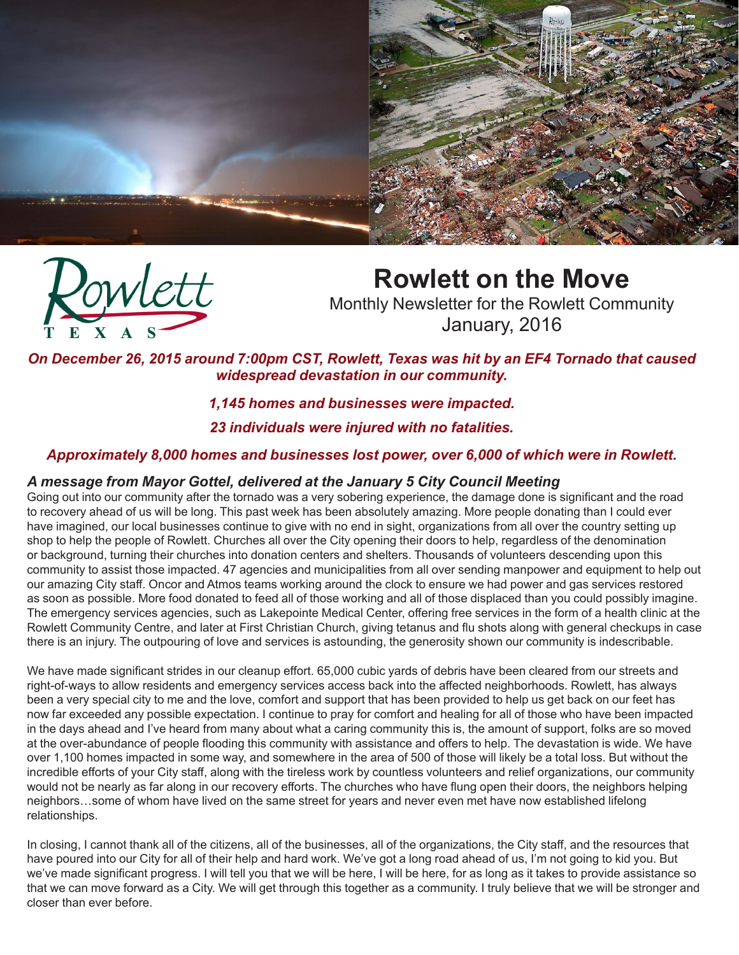



# **Rowlett on the Move**

Monthly Newsletter for the Rowlett Community January, 2016

*On December 26, 2015 around 7:00pm CST, Rowlett, Texas was hit by an EF4 Tornado that caused widespread devastation in our community.* 

## *1,145 homes and businesses were impacted.*

## *23 individuals were injured with no fatalities.*

## *Approximately 8,000 homes and businesses lost power, over 6,000 of which were in Rowlett.*

## *A message from Mayor Gottel, delivered at the January 5 City Council Meeting*

Going out into our community after the tornado was a very sobering experience, the damage done is significant and the road to recovery ahead of us will be long. This past week has been absolutely amazing. More people donating than I could ever have imagined, our local businesses continue to give with no end in sight, organizations from all over the country setting up shop to help the people of Rowlett. Churches all over the City opening their doors to help, regardless of the denomination or background, turning their churches into donation centers and shelters. Thousands of volunteers descending upon this community to assist those impacted. 47 agencies and municipalities from all over sending manpower and equipment to help out our amazing City staff. Oncor and Atmos teams working around the clock to ensure we had power and gas services restored as soon as possible. More food donated to feed all of those working and all of those displaced than you could possibly imagine. The emergency services agencies, such as Lakepointe Medical Center, offering free services in the form of a health clinic at the Rowlett Community Centre, and later at First Christian Church, giving tetanus and flu shots along with general checkups in case there is an injury. The outpouring of love and services is astounding, the generosity shown our community is indescribable.

We have made significant strides in our cleanup effort. 65,000 cubic yards of debris have been cleared from our streets and right-of-ways to allow residents and emergency services access back into the affected neighborhoods. Rowlett, has always been a very special city to me and the love, comfort and support that has been provided to help us get back on our feet has now far exceeded any possible expectation. I continue to pray for comfort and healing for all of those who have been impacted in the days ahead and I've heard from many about what a caring community this is, the amount of support, folks are so moved at the over-abundance of people flooding this community with assistance and offers to help. The devastation is wide. We have over 1,100 homes impacted in some way, and somewhere in the area of 500 of those will likely be a total loss. But without the incredible efforts of your City staff, along with the tireless work by countless volunteers and relief organizations, our community would not be nearly as far along in our recovery efforts. The churches who have flung open their doors, the neighbors helping neighbors…some of whom have lived on the same street for years and never even met have now established lifelong relationships.

In closing, I cannot thank all of the citizens, all of the businesses, all of the organizations, the City staff, and the resources that have poured into our City for all of their help and hard work. We've got a long road ahead of us, I'm not going to kid you. But we've made significant progress. I will tell you that we will be here, I will be here, for as long as it takes to provide assistance so that we can move forward as a City. We will get through this together as a community. I truly believe that we will be stronger and closer than ever before.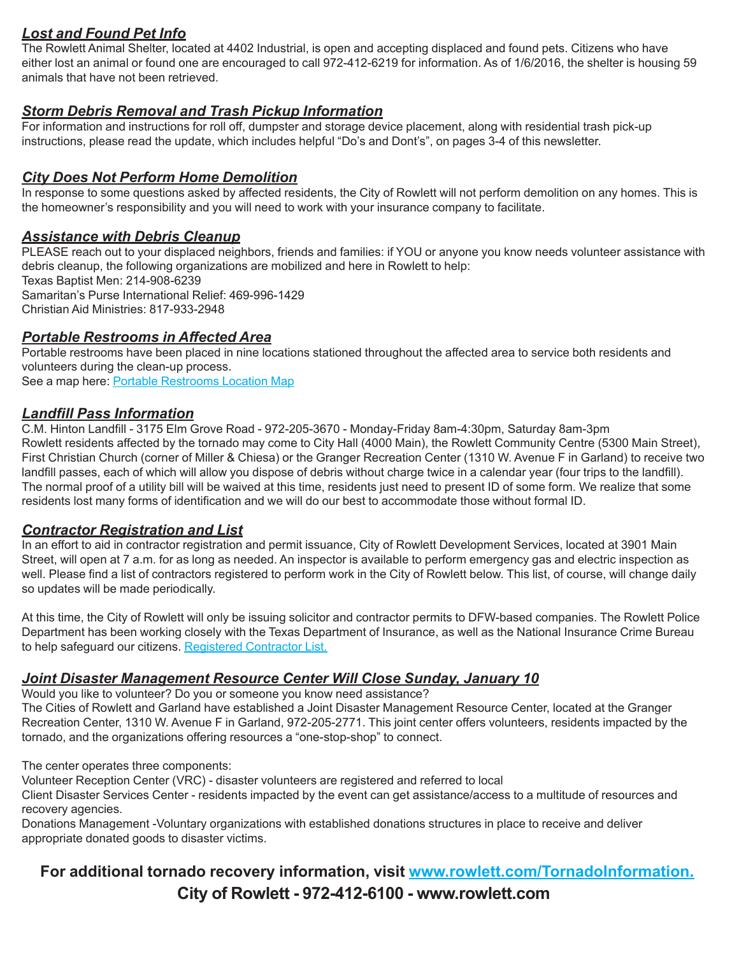## *Lost and Found Pet Info*

The Rowlett Animal Shelter, located at 4402 Industrial, is open and accepting displaced and found pets. Citizens who have either lost an animal or found one are encouraged to call 972-412-6219 for information. As of 1/6/2016, the shelter is housing 59 animals that have not been retrieved.

## *Storm Debris Removal and Trash Pickup Information*

For information and instructions for roll off, dumpster and storage device placement, along with residential trash pick-up instructions, please read the update, which includes helpful "Do's and Dont's", on pages 3-4 of this newsletter.

#### *City Does Not Perform Home Demolition*

In response to some questions asked by affected residents, the City of Rowlett will not perform demolition on any homes. This is the homeowner's responsibility and you will need to work with your insurance company to facilitate.

#### *Assistance with Debris Cleanup*

PLEASE reach out to your displaced neighbors, friends and families: if YOU or anyone you know needs volunteer assistance with debris cleanup, the following organizations are mobilized and here in Rowlett to help: Texas Baptist Men: 214-908-6239 Samaritan's Purse International Relief: 469-996-1429 Christian Aid Ministries: 817-933-2948

#### *Portable Restrooms in Affected Area*

Portable restrooms have been placed in nine locations stationed throughout the affected area to service both residents and volunteers during the clean-up process. See a map here: [Portable Restrooms Location Map](http://www.rowlett.com/DocumentCenter/View/10088)

#### *Landfill Pass Information*

C.M. Hinton Landfill - 3175 Elm Grove Road - 972-205-3670 - Monday-Friday 8am-4:30pm, Saturday 8am-3pm Rowlett residents affected by the tornado may come to City Hall (4000 Main), the Rowlett Community Centre (5300 Main Street), First Christian Church (corner of Miller & Chiesa) or the Granger Recreation Center (1310 W. Avenue F in Garland) to receive two landfill passes, each of which will allow you dispose of debris without charge twice in a calendar year (four trips to the landfill). The normal proof of a utility bill will be waived at this time, residents just need to present ID of some form. We realize that some residents lost many forms of identification and we will do our best to accommodate those without formal ID.

#### *Contractor Registration and List*

In an effort to aid in contractor registration and permit issuance, City of Rowlett Development Services, located at 3901 Main Street, will open at 7 a.m. for as long as needed. An inspector is available to perform emergency gas and electric inspection as well. Please find a list of contractors registered to perform work in the City of Rowlett below. This list, of course, will change daily so updates will be made periodically.

At this time, the City of Rowlett will only be issuing solicitor and contractor permits to DFW-based companies. The Rowlett Police Department has been working closely with the Texas Department of Insurance, as well as the National Insurance Crime Bureau to help safeguard our citizens. [Registered Contractor List.](http://www.rowlett.com/DocumentCenter/View/10085)

#### *Joint Disaster Management Resource Center Will Close Sunday, January 10*

Would you like to volunteer? Do you or someone you know need assistance?

The Cities of Rowlett and Garland have established a Joint Disaster Management Resource Center, located at the Granger Recreation Center, 1310 W. Avenue F in Garland, 972-205-2771. This joint center offers volunteers, residents impacted by the tornado, and the organizations offering resources a "one-stop-shop" to connect.

The center operates three components:

Volunteer Reception Center (VRC) - disaster volunteers are registered and referred to local

Client Disaster Services Center - residents impacted by the event can get assistance/access to a multitude of resources and recovery agencies.

Donations Management -Voluntary organizations with established donations structures in place to receive and deliver appropriate donated goods to disaster victims.

# **City of Rowlett - 972-412-6100 - www.rowlett.com For additional tornado recovery information, visit [www.rowlett.com/TornadoInformation.](http://www.rowlett.com/index.aspx?nid=1416)**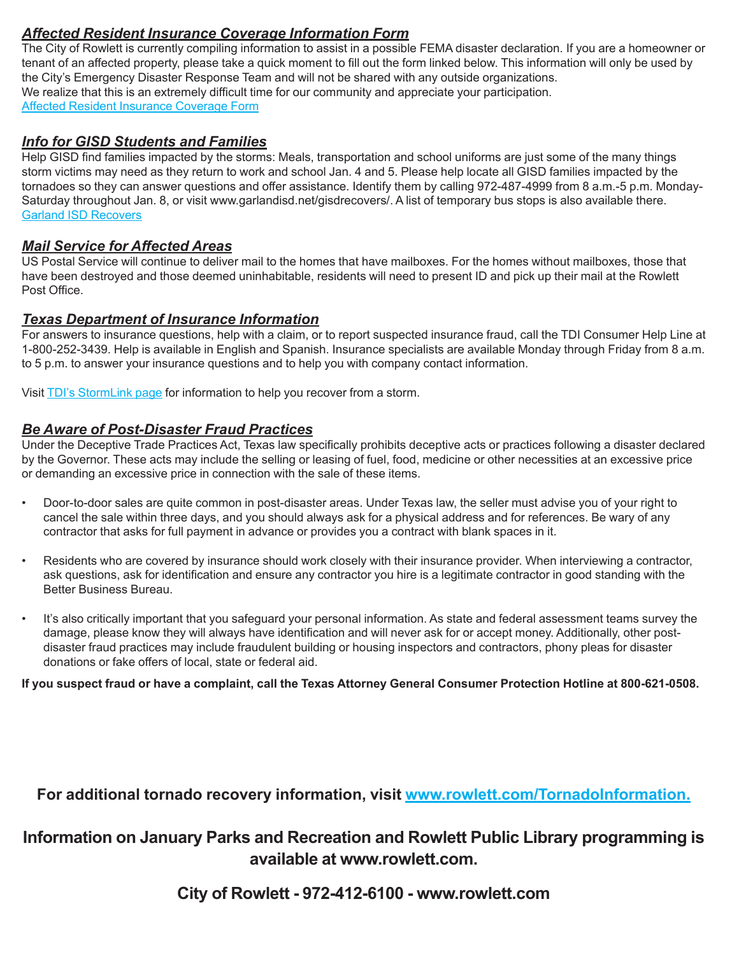## *Affected Resident Insurance Coverage Information Form*

The City of Rowlett is currently compiling information to assist in a possible FEMA disaster declaration. If you are a homeowner or tenant of an affected property, please take a quick moment to fill out the form linked below. This information will only be used by the City's Emergency Disaster Response Team and will not be shared with any outside organizations. We realize that this is an extremely difficult time for our community and appreciate your participation. [Affected Resident Insurance Coverage Form](http://www.rowlett.com/forms.aspx?FID=175)

#### *Info for GISD Students and Families*

Help GISD find families impacted by the storms: Meals, transportation and school uniforms are just some of the many things storm victims may need as they return to work and school Jan. 4 and 5. Please help locate all GISD families impacted by the tornadoes so they can answer questions and offer assistance. Identify them by calling 972-487-4999 from 8 a.m.-5 p.m. Monday-Saturday throughout Jan. 8, or visit www.garlandisd.net/gisdrecovers/. A list of temporary bus stops is also available there. [Garland ISD Recovers](http://www.garlandisd.net/gisdrecovers/)

#### *Mail Service for Affected Areas*

US Postal Service will continue to deliver mail to the homes that have mailboxes. For the homes without mailboxes, those that have been destroyed and those deemed uninhabitable, residents will need to present ID and pick up their mail at the Rowlett Post Office.

#### *Texas Department of Insurance Information*

For answers to insurance questions, help with a claim, or to report suspected insurance fraud, call the TDI Consumer Help Line at 1-800-252-3439. Help is available in English and Spanish. Insurance specialists are available Monday through Friday from 8 a.m. to 5 p.m. to answer your insurance questions and to help you with company contact information.

Visit [TDI's StormLink page](www.tdi.texas.gov/consumer/storms/index.html) for information to help you recover from a storm.

#### *Be Aware of Post-Disaster Fraud Practices*

Under the Deceptive Trade Practices Act, Texas law specifically prohibits deceptive acts or practices following a disaster declared by the Governor. These acts may include the selling or leasing of fuel, food, medicine or other necessities at an excessive price or demanding an excessive price in connection with the sale of these items.

- Door-to-door sales are quite common in post-disaster areas. Under Texas law, the seller must advise you of your right to cancel the sale within three days, and you should always ask for a physical address and for references. Be wary of any contractor that asks for full payment in advance or provides you a contract with blank spaces in it.
- Residents who are covered by insurance should work closely with their insurance provider. When interviewing a contractor, ask questions, ask for identification and ensure any contractor you hire is a legitimate contractor in good standing with the Better Business Bureau.
- It's also critically important that you safeguard your personal information. As state and federal assessment teams survey the damage, please know they will always have identification and will never ask for or accept money. Additionally, other postdisaster fraud practices may include fraudulent building or housing inspectors and contractors, phony pleas for disaster donations or fake offers of local, state or federal aid.

**If you suspect fraud or have a complaint, call the Texas Attorney General Consumer Protection Hotline at 800-621-0508.**

## **For additional tornado recovery information, visit [www.rowlett.com/TornadoInformation.](http://www.rowlett.com/index.aspx?nid=1416)**

# **Information on January Parks and Recreation and Rowlett Public Library programming is available at www.rowlett.com.**

**City of Rowlett - 972-412-6100 - www.rowlett.com**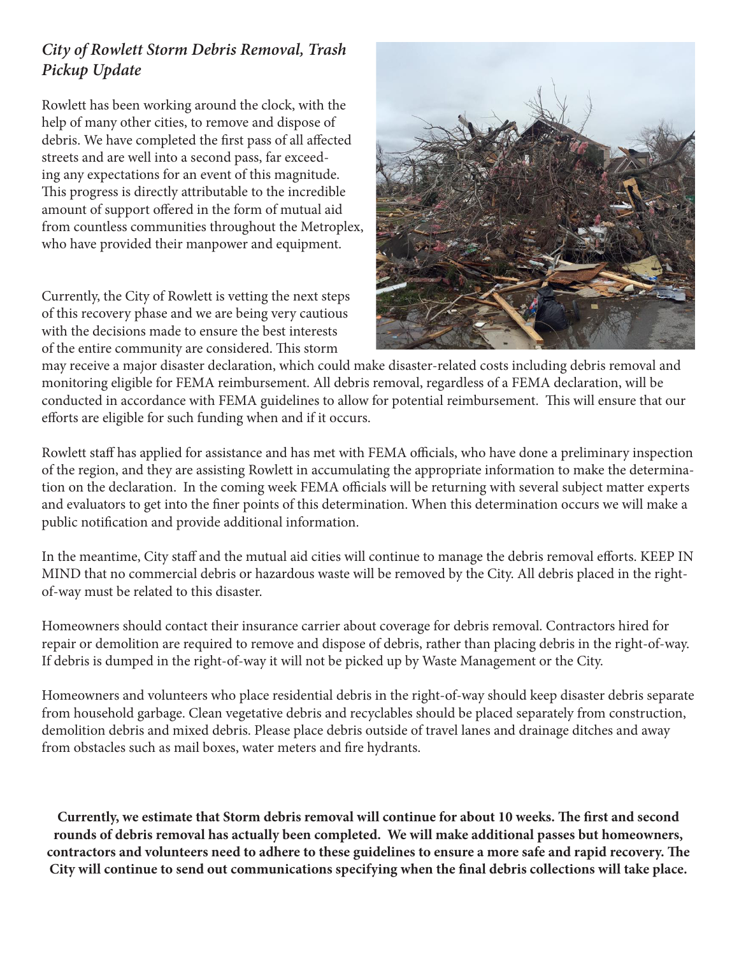# *City of Rowlett Storm Debris Removal, Trash Pickup Update*

Rowlett has been working around the clock, with the help of many other cities, to remove and dispose of debris. We have completed the first pass of all affected streets and are well into a second pass, far exceeding any expectations for an event of this magnitude. This progress is directly attributable to the incredible amount of support offered in the form of mutual aid from countless communities throughout the Metroplex, who have provided their manpower and equipment.

Currently, the City of Rowlett is vetting the next steps of this recovery phase and we are being very cautious with the decisions made to ensure the best interests of the entire community are considered. This storm



may receive a major disaster declaration, which could make disaster-related costs including debris removal and monitoring eligible for FEMA reimbursement. All debris removal, regardless of a FEMA declaration, will be conducted in accordance with FEMA guidelines to allow for potential reimbursement. This will ensure that our efforts are eligible for such funding when and if it occurs.

Rowlett staff has applied for assistance and has met with FEMA officials, who have done a preliminary inspection of the region, and they are assisting Rowlett in accumulating the appropriate information to make the determination on the declaration. In the coming week FEMA officials will be returning with several subject matter experts and evaluators to get into the finer points of this determination. When this determination occurs we will make a public notification and provide additional information.

In the meantime, City staff and the mutual aid cities will continue to manage the debris removal efforts. KEEP IN MIND that no commercial debris or hazardous waste will be removed by the City. All debris placed in the rightof-way must be related to this disaster.

Homeowners should contact their insurance carrier about coverage for debris removal. Contractors hired for repair or demolition are required to remove and dispose of debris, rather than placing debris in the right-of-way. If debris is dumped in the right-of-way it will not be picked up by Waste Management or the City.

Homeowners and volunteers who place residential debris in the right-of-way should keep disaster debris separate from household garbage. Clean vegetative debris and recyclables should be placed separately from construction, demolition debris and mixed debris. Please place debris outside of travel lanes and drainage ditches and away from obstacles such as mail boxes, water meters and fire hydrants.

**Currently, we estimate that Storm debris removal will continue for about 10 weeks. The first and second rounds of debris removal has actually been completed. We will make additional passes but homeowners, contractors and volunteers need to adhere to these guidelines to ensure a more safe and rapid recovery. The City will continue to send out communications specifying when the final debris collections will take place.**